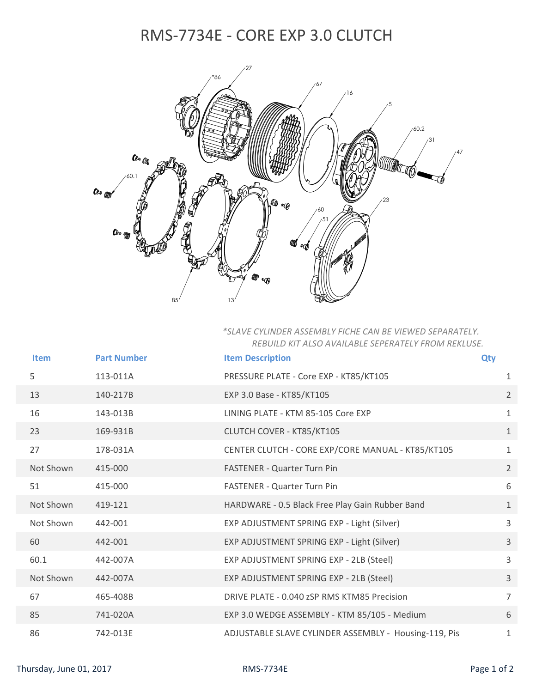## RMS‐7734E ‐ CORE EXP 3.0 CLUTCH



## *\*SLAVE CYLINDER ASSEMBLY FICHE CAN BE VIEWED SEPARATELY. REBUILD KIT ALSO AVAILABLE SEPERATELY FROM REKLUSE.*

| <b>Item</b> | <b>Part Number</b> | <b>Item Description</b>                               | <b>Qty</b>     |
|-------------|--------------------|-------------------------------------------------------|----------------|
| 5           | 113-011A           | PRESSURE PLATE - Core EXP - KT85/KT105                | 1              |
| 13          | 140-217B           | EXP 3.0 Base - KT85/KT105                             | $\overline{2}$ |
| 16          | 143-013B           | LINING PLATE - KTM 85-105 Core EXP                    | $\mathbf{1}$   |
| 23          | 169-931B           | CLUTCH COVER - KT85/KT105                             | $\mathbf{1}$   |
| 27          | 178-031A           | CENTER CLUTCH - CORE EXP/CORE MANUAL - KT85/KT105     | $\mathbf{1}$   |
| Not Shown   | 415-000            | <b>FASTENER - Quarter Turn Pin</b>                    | $\overline{2}$ |
| 51          | 415-000            | <b>FASTENER - Quarter Turn Pin</b>                    | 6              |
| Not Shown   | 419-121            | HARDWARE - 0.5 Black Free Play Gain Rubber Band       | $\mathbf{1}$   |
| Not Shown   | 442-001            | EXP ADJUSTMENT SPRING EXP - Light (Silver)            | 3              |
| 60          | 442-001            | EXP ADJUSTMENT SPRING EXP - Light (Silver)            | 3              |
| 60.1        | 442-007A           | EXP ADJUSTMENT SPRING EXP - 2LB (Steel)               | $\overline{3}$ |
| Not Shown   | 442-007A           | EXP ADJUSTMENT SPRING EXP - 2LB (Steel)               | $\mathbf{3}$   |
| 67          | 465-408B           | DRIVE PLATE - 0.040 zSP RMS KTM85 Precision           | $\overline{7}$ |
| 85          | 741-020A           | EXP 3.0 WEDGE ASSEMBLY - KTM 85/105 - Medium          | 6              |
| 86          | 742-013E           | ADJUSTABLE SLAVE CYLINDER ASSEMBLY - Housing-119, Pis | 1              |